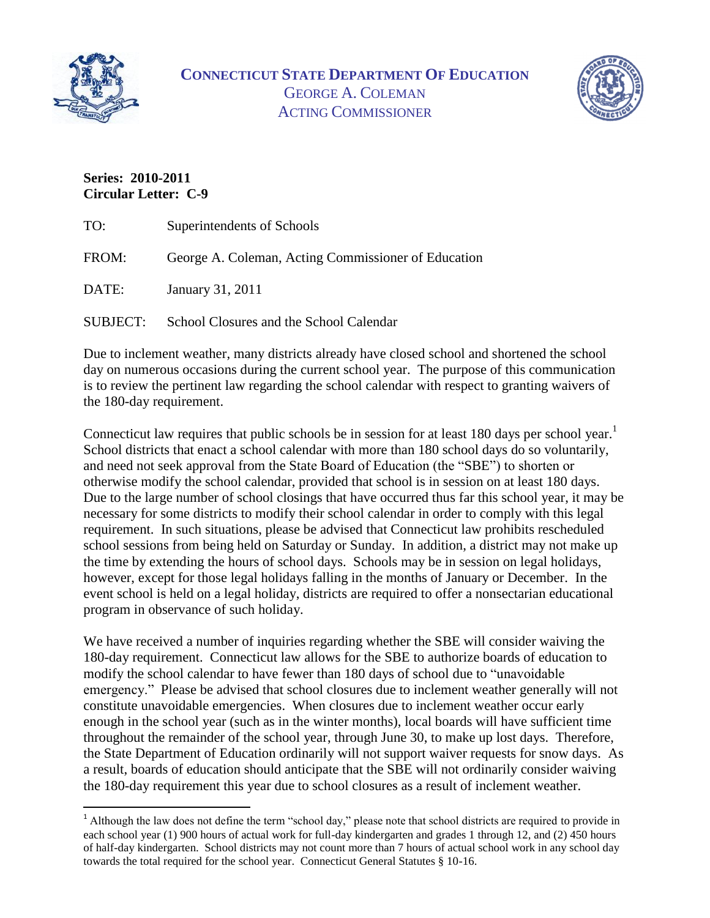

 $\overline{a}$ 



## **Series: 2010-2011 Circular Letter: C-9**

| TO:             | Superintendents of Schools                          |
|-----------------|-----------------------------------------------------|
| FROM:           | George A. Coleman, Acting Commissioner of Education |
| DATE:           | January 31, 2011                                    |
| <b>SUBJECT:</b> | School Closures and the School Calendar             |

Due to inclement weather, many districts already have closed school and shortened the school day on numerous occasions during the current school year. The purpose of this communication is to review the pertinent law regarding the school calendar with respect to granting waivers of the 180-day requirement.

Connecticut law requires that public schools be in session for at least 180 days per school year.<sup>1</sup> School districts that enact a school calendar with more than 180 school days do so voluntarily, and need not seek approval from the State Board of Education (the "SBE") to shorten or otherwise modify the school calendar, provided that school is in session on at least 180 days. Due to the large number of school closings that have occurred thus far this school year, it may be necessary for some districts to modify their school calendar in order to comply with this legal requirement. In such situations, please be advised that Connecticut law prohibits rescheduled school sessions from being held on Saturday or Sunday. In addition, a district may not make up the time by extending the hours of school days. Schools may be in session on legal holidays, however, except for those legal holidays falling in the months of January or December. In the event school is held on a legal holiday, districts are required to offer a nonsectarian educational program in observance of such holiday.

We have received a number of inquiries regarding whether the SBE will consider waiving the 180-day requirement. Connecticut law allows for the SBE to authorize boards of education to modify the school calendar to have fewer than 180 days of school due to "unavoidable emergency." Please be advised that school closures due to inclement weather generally will not constitute unavoidable emergencies. When closures due to inclement weather occur early enough in the school year (such as in the winter months), local boards will have sufficient time throughout the remainder of the school year, through June 30, to make up lost days. Therefore, the State Department of Education ordinarily will not support waiver requests for snow days. As a result, boards of education should anticipate that the SBE will not ordinarily consider waiving the 180-day requirement this year due to school closures as a result of inclement weather.

<sup>&</sup>lt;sup>1</sup> Although the law does not define the term "school day," please note that school districts are required to provide in each school year (1) 900 hours of actual work for full-day kindergarten and grades 1 through 12, and (2) 450 hours of half-day kindergarten. School districts may not count more than 7 hours of actual school work in any school day towards the total required for the school year. Connecticut General Statutes § 10-16.